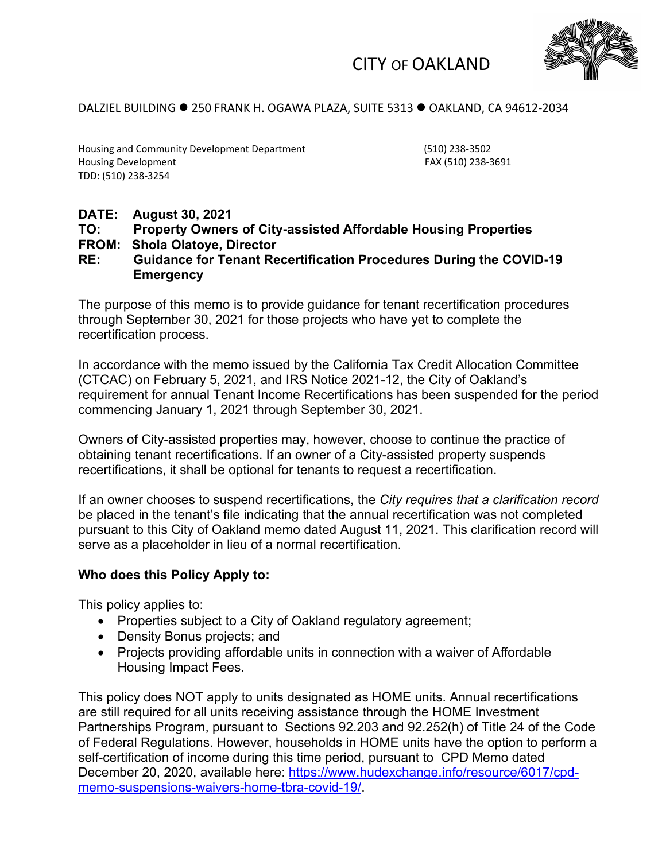

## CITY OF OAKLAND

### DALZIEL BUILDING ● 250 FRANK H. OGAWA PLAZA, SUITE 5313 ● OAKLAND, CA 94612-2034

Housing and Community Development Department (510) 238-3502 Housing Development **FAX** (510) 238-3691 TDD: (510) 238-3254

## **DATE: August 30, 2021**

# **TO: Property Owners of City-assisted Affordable Housing Properties**

### **FROM: Shola Olatoye, Director**

### **RE: Guidance for Tenant Recertification Procedures During the COVID-19 Emergency**

The purpose of this memo is to provide guidance for tenant recertification procedures through September 30, 2021 for those projects who have yet to complete the recertification process.

In accordance with the memo issued by the California Tax Credit Allocation Committee (CTCAC) on February 5, 2021, and IRS Notice 2021-12, the City of Oakland's requirement for annual Tenant Income Recertifications has been suspended for the period commencing January 1, 2021 through September 30, 2021.

Owners of City-assisted properties may, however, choose to continue the practice of obtaining tenant recertifications. If an owner of a City-assisted property suspends recertifications, it shall be optional for tenants to request a recertification.

If an owner chooses to suspend recertifications, the *City requires that a clarification record* be placed in the tenant's file indicating that the annual recertification was not completed pursuant to this City of Oakland memo dated August 11, 2021. This clarification record will serve as a placeholder in lieu of a normal recertification.

### **Who does this Policy Apply to:**

This policy applies to:

- Properties subject to a City of Oakland regulatory agreement;
- Density Bonus projects; and
- Projects providing affordable units in connection with a waiver of Affordable Housing Impact Fees.

This policy does NOT apply to units designated as HOME units. Annual recertifications are still required for all units receiving assistance through the HOME Investment Partnerships Program, pursuant to Sections [92.203](https://urldefense.proofpoint.com/v2/url?u=https-3A__www.law.cornell.edu_cfr_text_24_92.203&d=DwMGaQ&c=6ZboKdJzR8nZOqwBjhPnCw&r=o-VmZe2IX0hwWWK3VhfVObg-gFPlFH8jtSjmvvghS-M&m=qTOo6kFeOSnWyhM4SwKxExuLpS_XV2T_syVwAfykR-8&s=ui-BOPj5c28VuYP4H-1wWFyFMrHTmUlW63djnDIg_0A&e=) and [92.252\(h\)](https://urldefense.proofpoint.com/v2/url?u=https-3A__www.law.cornell.edu_cfr_text_24_92.252&d=DwMGaQ&c=6ZboKdJzR8nZOqwBjhPnCw&r=o-VmZe2IX0hwWWK3VhfVObg-gFPlFH8jtSjmvvghS-M&m=qTOo6kFeOSnWyhM4SwKxExuLpS_XV2T_syVwAfykR-8&s=P9_oXKif5VitjTsTv0BC881tn_teCxcbAbO9vGlwPvs&e=) of Title 24 of the Code of Federal Regulations. However, households in HOME units have the option to perform a self-certification of income during this time period, pursuant to CPD Memo dated December 20, 2020, available here: [https://www.hudexchange.info/resource/6017/cpd](https://www.hudexchange.info/resource/6017/cpd-memo-suspensions-waivers-home-tbra-covid-19/)[memo-suspensions-waivers-home-tbra-covid-19/.](https://www.hudexchange.info/resource/6017/cpd-memo-suspensions-waivers-home-tbra-covid-19/)